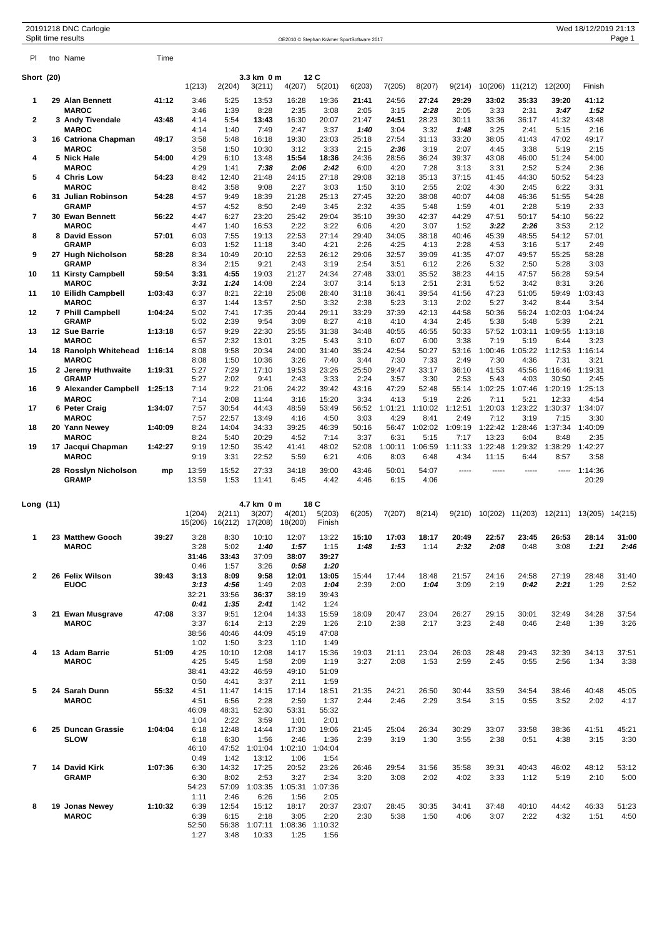|                | 20191218 DNC Carlogie<br>Split time results |         |                |                 |                      |                 | OE2010 © Stephan Krämer SportSoftware 2017 |               |                 |                 |                 |                  |                 |                  | Wed 18/12/2019 21:13 | Page 1        |
|----------------|---------------------------------------------|---------|----------------|-----------------|----------------------|-----------------|--------------------------------------------|---------------|-----------------|-----------------|-----------------|------------------|-----------------|------------------|----------------------|---------------|
| PI.            | tno Name                                    | Time    |                |                 |                      |                 |                                            |               |                 |                 |                 |                  |                 |                  |                      |               |
| Short (20)     |                                             |         | 1(213)         | 2(204)          | 3.3 km 0 m<br>3(211) | 4(207)          | 12C<br>5(201)                              | 6(203)        | 7(205)          | 8(207)          | 9(214)          | 10(206)          | 11(212)         | 12(200)          | Finish               |               |
| 1              | 29 Alan Bennett                             | 41:12   | 3:46           | 5:25            | 13:53                | 16:28           | 19:36                                      | 21:41         | 24:56           | 27:24           | 29:29           | 33:02            | 35:33           | 39:20            | 41:12                |               |
|                | <b>MAROC</b>                                |         | 3:46           | 1:39            | 8:28                 | 2:35            | 3:08                                       | 2:05          | 3:15            | 2:28            | 2:05            | 3:33             | 2:31            | 3:47             | 1:52                 |               |
| 2              | 3 Andy Tivendale<br><b>MAROC</b>            | 43:48   | 4:14<br>4:14   | 5:54<br>1:40    | 13:43<br>7:49        | 16:30<br>2:47   | 20:07<br>3:37                              | 21:47<br>1:40 | 24:51<br>3:04   | 28:23<br>3:32   | 30:11<br>1:48   | 33:36<br>3:25    | 36:17<br>2:41   | 41:32<br>5:15    | 43:48<br>2:16        |               |
| 3              | 16 Catriona Chapman                         | 49:17   | 3:58           | 5:48            | 16:18                | 19:30           | 23:03                                      | 25:18         | 27:54           | 31:13           | 33:20           | 38:05            | 41:43           | 47:02            | 49:17                |               |
|                | <b>MAROC</b>                                |         | 3:58           | 1:50            | 10:30                | 3:12            | 3:33                                       | 2:15          | 2:36            | 3:19            | 2:07            | 4:45             | 3:38            | 5:19             | 2:15                 |               |
| 4              | 5 Nick Hale                                 | 54:00   | 4:29           | 6:10            | 13:48                | 15:54           | 18:36                                      | 24:36         | 28:56           | 36:24           | 39:37           | 43:08            | 46:00           | 51:24            | 54:00                |               |
| 5              | <b>MAROC</b><br><b>4 Chris Low</b>          | 54:23   | 4:29<br>8:42   | 1:41<br>12:40   | 7:38<br>21:48        | 2:06<br>24:15   | 2:42<br>27:18                              | 6:00<br>29:08 | 4:20<br>32:18   | 7:28<br>35:13   | 3:13<br>37:15   | 3:31<br>41:45    | 2:52<br>44:30   | 5:24<br>50:52    | 2:36<br>54:23        |               |
|                | <b>MAROC</b>                                |         | 8:42           | 3:58            | 9:08                 | 2:27            | 3:03                                       | 1:50          | 3:10            | 2:55            | 2:02            | 4:30             | 2:45            | 6:22             | 3:31                 |               |
| 6              | 31 Julian Robinson                          | 54:28   | 4:57           | 9:49            | 18:39                | 21:28           | 25:13                                      | 27:45         | 32:20           | 38:08           | 40:07           | 44:08            | 46:36           | 51:55            | 54:28                |               |
| $\overline{7}$ | GRAMP<br>30 Ewan Bennett                    | 56:22   | 4:57<br>4:47   | 4:52<br>6:27    | 8:50<br>23:20        | 2:49<br>25:42   | 3:45<br>29:04                              | 2:32<br>35:10 | 4:35<br>39:30   | 5:48<br>42:37   | 1:59<br>44:29   | 4:01<br>47:51    | 2:28<br>50:17   | 5:19<br>54:10    | 2:33<br>56:22        |               |
|                | <b>MAROC</b>                                |         | 4:47           | 1:40            | 16:53                | 2:22            | 3:22                                       | 6:06          | 4:20            | 3:07            | 1:52            | 3:22             | 2:26            | 3:53             | 2:12                 |               |
| 8              | 8 David Esson                               | 57:01   | 6:03           | 7:55            | 19:13                | 22:53           | 27:14                                      | 29:40         | 34:05           | 38:18           | 40:46           | 45:39            | 48:55           | 54:12            | 57:01                |               |
| 9              | <b>GRAMP</b><br>27 Hugh Nicholson           | 58:28   | 6:03<br>8:34   | 1:52<br>10:49   | 11:18<br>20:10       | 3:40<br>22:53   | 4:21<br>26:12                              | 2:26<br>29:06 | 4:25<br>32:57   | 4:13<br>39:09   | 2:28<br>41:35   | 4:53<br>47:07    | 3:16<br>49:57   | 5:17<br>55:25    | 2:49<br>58:28        |               |
|                | <b>GRAMP</b>                                |         | 8:34           | 2:15            | 9:21                 | 2:43            | 3:19                                       | 2:54          | 3:51            | 6:12            | 2:26            | 5:32             | 2:50            | 5:28             | 3:03                 |               |
| 10             | 11 Kirsty Campbell                          | 59:54   | 3:31           | 4:55            | 19:03                | 21:27           | 24:34                                      | 27:48         | 33:01           | 35:52           | 38:23           | 44:15            | 47:57           | 56:28            | 59:54                |               |
| 11             | <b>MAROC</b><br>10 Eilidh Campbell          | 1:03:43 | 3:31<br>6:37   | 1:24<br>8:21    | 14:08<br>22:18       | 2:24<br>25:08   | 3:07<br>28:40                              | 3:14<br>31:18 | 5:13<br>36:41   | 2:51<br>39:54   | 2:31<br>41:56   | 5:52<br>47:23    | 3:42<br>51:05   | 8:31<br>59:49    | 3:26<br>1:03:43      |               |
|                | <b>MAROC</b>                                |         | 6:37           | 1:44            | 13:57                | 2:50            | 3:32                                       | 2:38          | 5:23            | 3:13            | 2:02            | 5:27             | 3:42            | 8:44             | 3:54                 |               |
| 12             | 7 Phill Campbell                            | 1:04:24 | 5:02           | 7:41            | 17:35                | 20:44           | 29:11                                      | 33:29         | 37:39           | 42:13           | 44:58           | 50:36            | 56:24           | 1:02:03          | 1:04:24              |               |
| 13             | GRAMP<br>12 Sue Barrie                      | 1:13:18 | 5:02<br>6:57   | 2:39<br>9:29    | 9:54<br>22:30        | 3:09<br>25:55   | 8:27<br>31:38                              | 4:18<br>34:48 | 4:10<br>40:55   | 4:34<br>46:55   | 2:45<br>50:33   | 5:38<br>57:52    | 5:48<br>1:03:11 | 5:39<br>1:09:55  | 2:21<br>1:13:18      |               |
|                | <b>MAROC</b>                                |         | 6:57           | 2:32            | 13:01                | 3:25            | 5:43                                       | 3:10          | 6:07            | 6:00            | 3:38            | 7:19             | 5:19            | 6:44             | 3:23                 |               |
| 14             | 18 Ranolph Whitehead                        | 1:16:14 | 8:08           | 9:58            | 20:34                | 24:00           | 31:40                                      | 35:24         | 42:54           | 50:27           | 53:16           | 1:00:46          | 1:05:22         | 1:12:53          | 1:16:14              |               |
| 15             | <b>MAROC</b><br>2 Jeremy Huthwaite          | 1:19:31 | 8:08<br>5:27   | 1:50<br>7:29    | 10:36<br>17:10       | 3:26<br>19:53   | 7:40<br>23:26                              | 3:44<br>25:50 | 7:30<br>29:47   | 7:33<br>33:17   | 2:49<br>36:10   | 7:30<br>41:53    | 4:36<br>45:56   | 7:31<br>1:16:46  | 3:21<br>1:19:31      |               |
|                | <b>GRAMP</b>                                |         | 5:27           | 2:02            | 9:41                 | 2:43            | 3:33                                       | 2:24          | 3:57            | 3:30            | 2:53            | 5:43             | 4:03            | 30:50            | 2:45                 |               |
| 16             | 9 Alexander Campbell                        | 1:25:13 | 7:14           | 9:22            | 21:06                | 24:22           | 39:42                                      | 43:16         | 47:29           | 52:48           | 55:14           | 1:02:25          | 1:07:46         | 1:20:19          | 1:25:13              |               |
| 17             | <b>MAROC</b><br>6 Peter Craig               | 1:34:07 | 7:14<br>7:57   | 2:08<br>30:54   | 11:44<br>44:43       | 3:16<br>48:59   | 15:20<br>53:49                             | 3:34<br>56:52 | 4:13<br>1:01:21 | 5:19<br>1:10:02 | 2:26<br>1:12:51 | 7:11<br>1:20:03  | 5:21<br>1:23:22 | 12:33<br>1:30:37 | 4:54<br>1:34:07      |               |
|                | <b>MAROC</b>                                |         | 7:57           | 22:57           | 13:49                | 4:16            | 4:50                                       | 3:03          | 4:29            | 8:41            | 2:49            | 7:12             | 3:19            | 7:15             | 3:30                 |               |
| 18             | 20 Yann Newey                               | 1:40:09 | 8:24           | 14:04           | 34:33                | 39:25           | 46:39                                      | 50:16         | 56:47           | 1:02:02         | 1:09:19         |                  | 1:22:42 1:28:46 | 1:37:34          | 1:40:09              |               |
| 19             | <b>MAROC</b><br>17 Jacqui Chapman           | 1:42:27 | 8:24<br>9:19   | 5:40<br>12:50   | 20:29<br>35:42       | 4:52<br>41:41   | 7:14<br>48:02                              | 3:37<br>52:08 | 6:31<br>1:00:11 | 5:15<br>1:06:59 | 7:17<br>1:11:33 | 13:23<br>1:22:48 | 6:04<br>1:29:32 | 8:48<br>1:38:29  | 2:35<br>1:42:27      |               |
|                | <b>MAROC</b>                                |         | 9:19           | 3:31            | 22:52                | 5:59            | 6:21                                       | 4:06          | 8:03            | 6:48            | 4:34            | 11:15            | 6:44            | 8:57             | 3:58                 |               |
|                | 28 Rosslyn Nicholson<br>GRAMP               | mp      | 13:59<br>13:59 | 15:52<br>1:53   | 27:33<br>11:41       | 34:18<br>6:45   | 39:00<br>4:42                              | 43:46<br>4:46 | 50:01<br>6:15   | 54:07<br>4:06   |                 |                  |                 |                  | 1:14:36<br>20:29     |               |
|                |                                             |         |                |                 |                      |                 |                                            |               |                 |                 |                 |                  |                 |                  |                      |               |
| Long (11)      |                                             |         | 1(204)         | 2(211)          | 4.7 km 0 m<br>3(207) | 4(201)          | 18 C<br>5(203)                             | 6(205)        | 7(207)          | 8(214)          | 9(210)          | 10(202)          | 11(203)         |                  | 12(211) 13(205)      | 14(215)       |
|                |                                             |         |                | 15(206) 16(212) | 17(208)              | 18(200)         | Finish                                     |               |                 |                 |                 |                  |                 |                  |                      |               |
| 1              | 23 Matthew Gooch                            | 39:27   | 3:28           | 8:30            | 10:10                | 12:07           | 13:22                                      | 15:10         | 17:03           | 18:17           | 20:49           | 22:57            | 23:45           | 26:53            | 28:14                | 31:00         |
|                | <b>MAROC</b>                                |         | 3:28<br>31:46  | 5:02<br>33:43   | 1:40<br>37:09        | 1:57<br>38:07   | 1:15<br>39:27                              | 1:48          | 1:53            | 1:14            | 2:32            | 2:08             | 0:48            | 3:08             | 1:21                 | 2:46          |
|                |                                             |         | 0:46           | 1:57            | 3:26                 | 0:58            | 1:20                                       |               |                 |                 |                 |                  |                 |                  |                      |               |
| 2              | 26 Felix Wilson                             | 39:43   | 3:13           | 8:09            | 9:58                 | 12:01           | 13:05                                      | 15:44         | 17:44           | 18:48           | 21:57           | 24:16            | 24:58           | 27:19            | 28:48                | 31:40         |
|                | <b>EUOC</b>                                 |         | 3:13<br>32:21  | 4:56<br>33:56   | 1:49<br>36:37        | 2:03<br>38:19   | 1:04<br>39:43                              | 2:39          | 2:00            | 1:04            | 3:09            | 2:19             | 0:42            | 2:21             | 1:29                 | 2:52          |
|                |                                             |         | 0:41           | 1:35            | 2:41                 | 1:42            | 1:24                                       |               |                 |                 |                 |                  |                 |                  |                      |               |
| 3              | 21 Ewan Musgrave<br><b>MAROC</b>            | 47:08   | 3:37<br>3:37   | 9:51<br>6:14    | 12:04<br>2:13        | 14:33<br>2:29   | 15:59<br>1:26                              | 18:09<br>2:10 | 20:47<br>2:38   | 23:04<br>2:17   | 26:27<br>3:23   | 29:15<br>2:48    | 30:01<br>0:46   | 32:49<br>2:48    | 34:28<br>1:39        | 37:54<br>3:26 |
|                |                                             |         | 38:56          | 40:46           | 44:09                | 45:19           | 47:08                                      |               |                 |                 |                 |                  |                 |                  |                      |               |
|                |                                             |         | 1:02           | 1:50            | 3:23                 | 1:10            | 1:49                                       |               |                 |                 |                 |                  |                 |                  |                      |               |
| 4              | 13 Adam Barrie<br><b>MAROC</b>              | 51:09   | 4:25<br>4:25   | 10:10<br>5:45   | 12:08<br>1:58        | 14:17<br>2:09   | 15:36<br>1:19                              | 19:03<br>3:27 | 21:11<br>2:08   | 23:04<br>1:53   | 26:03<br>2:59   | 28:48<br>2:45    | 29:43<br>0:55   | 32:39<br>2:56    | 34:13<br>1:34        | 37:51<br>3:38 |
|                |                                             |         | 38:41          | 43:22           | 46:59                | 49:10           | 51:09                                      |               |                 |                 |                 |                  |                 |                  |                      |               |
|                |                                             |         | 0:50           | 4:41            | 3:37                 | 2:11            | 1:59                                       |               |                 |                 |                 |                  |                 |                  |                      |               |
| 5              | 24 Sarah Dunn                               | 55:32   | 4:51           | 11:47           | 14:15                | 17:14           | 18:51                                      | 21:35         | 24:21           | 26:50           | 30:44           | 33:59            | 34:54           | 38:46            | 40:48                | 45:05         |
|                | <b>MAROC</b>                                |         | 4:51<br>46:09  | 6:56<br>48:31   | 2:28<br>52:30        | 2:59<br>53:31   | 1:37<br>55:32                              | 2:44          | 2:46            | 2:29            | 3:54            | 3:15             | 0:55            | 3:52             | 2:02                 | 4:17          |
|                |                                             |         | 1:04           | 2:22            | 3:59                 | 1:01            | 2:01                                       |               |                 |                 |                 |                  |                 |                  |                      |               |
| 6              | 25 Duncan Grassie<br><b>SLOW</b>            | 1:04:04 | 6:18<br>6:18   | 12:48<br>6:30   | 14:44<br>1:56        | 17:30<br>2:46   | 19:06<br>1:36                              | 21:45<br>2:39 | 25:04<br>3:19   | 26:34<br>1:30   | 30:29<br>3:55   | 33:07<br>2:38    | 33:58<br>0:51   | 38:36<br>4:38    | 41:51<br>3:15        | 45:21<br>3:30 |
|                |                                             |         | 46:10          | 47:52           | 1:01:04              | 1:02:10         | 1:04:04                                    |               |                 |                 |                 |                  |                 |                  |                      |               |
|                |                                             |         | 0:49           | 1:42            | 13:12                | 1:06            | 1:54                                       |               |                 |                 |                 |                  |                 |                  |                      |               |
| 7              | 14 David Kirk<br><b>GRAMP</b>               | 1:07:36 | 6:30<br>6:30   | 14:32<br>8:02   | 17:25<br>2:53        | 20:52<br>3:27   | 23:26<br>2:34                              | 26:46<br>3:20 | 29:54<br>3:08   | 31:56<br>2:02   | 35:58<br>4:02   | 39:31<br>3:33    | 40:43<br>1:12   | 46:02<br>5:19    | 48:12<br>2:10        | 53:12<br>5:00 |
|                |                                             |         | 54:23          | 57:09           | 1:03:35              | 1:05:31 1:07:36 |                                            |               |                 |                 |                 |                  |                 |                  |                      |               |
|                |                                             |         | 1:11           | 2:46            | 6:26                 | 1:56            | 2:05                                       |               |                 |                 |                 |                  |                 |                  |                      |               |
| 8              | 19 Jonas Newey<br><b>MAROC</b>              | 1:10:32 | 6:39<br>6:39   | 12:54<br>6:15   | 15:12<br>2:18        | 18:17<br>3:05   | 20:37<br>2:20                              | 23:07<br>2:30 | 28:45<br>5:38   | 30:35<br>1:50   | 34:41<br>4:06   | 37:48<br>3:07    | 40:10<br>2:22   | 44:42<br>4:32    | 46:33<br>1:51        | 51:23<br>4:50 |
|                |                                             |         | 52:50          | 56:38           | 1:07:11              | 1:08:36         | 1:10:32                                    |               |                 |                 |                 |                  |                 |                  |                      |               |
|                |                                             |         | 1:27           | 3:48            | 10:33                | 1:25            | 1:56                                       |               |                 |                 |                 |                  |                 |                  |                      |               |